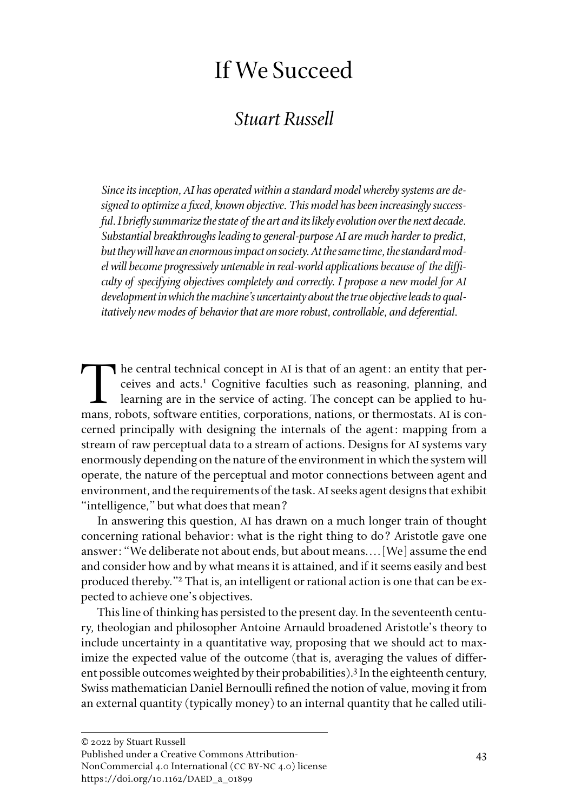# If We Succeed

## *Stuart Russell*

*Since its inception, AI has operated within a standard model whereby systems are designed to optimize a fixed, known objective. This model has been increasingly successful. I briefly summarize the state of the art and its likely evolution over the next decade. Substantial breakthroughs leading to general-purpose AI are much harder to predict, but they will have an enormous impact on society. At the same time, the standard model will become progressively untenable in real-world applications because of the difficulty of specifying objectives completely and correctly. I propose a new model for AI development in which the machine's uncertainty about the true objective leads to qualitatively new modes of behavior that are more robust, controllable, and deferential.* 

The central technical concept in AI is that of an agent: an entity that per-<br>ceives and acts.<sup>1</sup> Cognitive faculties such as reasoning, planning, and<br>learning are in the service of acting. The concept can be applied to huceives and acts.<sup>1</sup> Cognitive faculties such as reasoning, planning, and learning are in the service of acting. The concept can be applied to humans, robots, software entities, corporations, nations, or thermostats. AI is concerned principally with designing the internals of the agent: mapping from a stream of raw perceptual data to a stream of actions. Designs for AI systems vary enormously depending on the nature of the environment in which the system will operate, the nature of the perceptual and motor connections between agent and environment, and the requirements of the task. AI seeks agent designs that exhibit "intelligence," but what does that mean?

In answering this question, AI has drawn on a much longer train of thought concerning rational behavior: what is the right thing to do? Aristotle gave one answer: "We deliberate not about ends, but about means.... [We] assume the end and consider how and by what means it is attained, and if it seems easily and best produced thereby."2 That is, an intelligent or rational action is one that can be expected to achieve one's objectives.

This line of thinking has persisted to the present day. In the seventeenth century, theologian and philosopher Antoine Arnauld broadened Aristotle's theory to include uncertainty in a quantitative way, proposing that we should act to maximize the expected value of the outcome (that is, averaging the values of different possible outcomes weighted by their probabilities).<sup>3</sup> In the eighteenth century, Swiss mathematician Daniel Bernoulli refined the notion of value, moving it from an external quantity (typically money) to an internal quantity that he called utili-

NonCommercial 4.0 International (CC BY-NC 4.0) license https://doi.org/10.1162/DAED\_a\_01899

Published under a Creative Commons Attribution-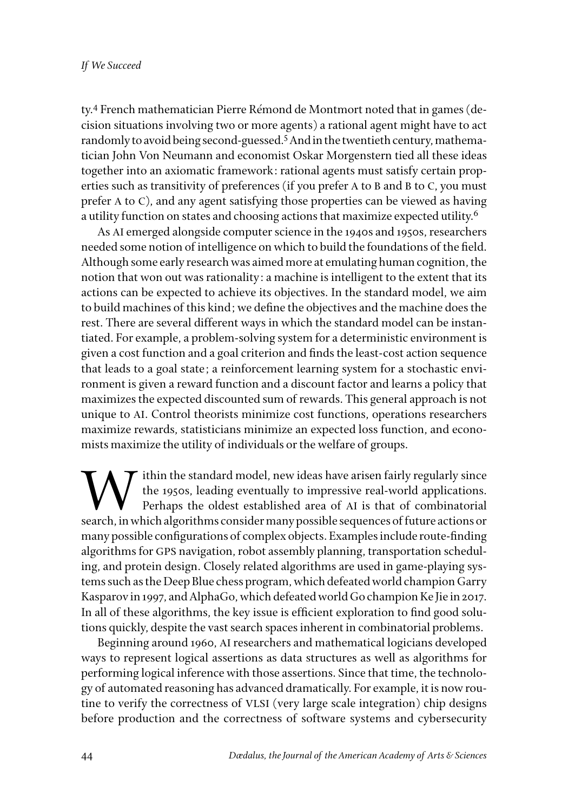ty.4 French mathematician Pierre Rémond de Montmort noted that in games (decision situations involving two or more agents) a rational agent might have to act randomly to avoid being second-guessed.<sup>5</sup> And in the twentieth century, mathematician John Von Neumann and economist Oskar Morgenstern tied all these ideas together into an axiomatic framework: rational agents must satisfy certain properties such as transitivity of preferences (if you prefer A to B and B to C, you must prefer A to C), and any agent satisfying those properties can be viewed as having a utility function on states and choosing actions that maximize expected utility.<sup>6</sup>

As AI emerged alongside computer science in the 1940s and 1950s, researchers needed some notion of intelligence on which to build the foundations of the field. Although some early research was aimed more at emulating human cognition, the notion that won out was rationality: a machine is intelligent to the extent that its actions can be expected to achieve its objectives. In the standard model, we aim to build machines of this kind; we define the objectives and the machine does the rest. There are several different ways in which the standard model can be instantiated. For example, a problem-solving system for a deterministic environment is given a cost function and a goal criterion and finds the least-cost action sequence that leads to a goal state; a reinforcement learning system for a stochastic environment is given a reward function and a discount factor and learns a policy that maximizes the expected discounted sum of rewards. This general approach is not unique to AI. Control theorists minimize cost functions, operations researchers maximize rewards, statisticians minimize an expected loss function, and economists maximize the utility of individuals or the welfare of groups.

Within the standard model, new ideas have arisen fairly regularly since<br>the 1950s, leading eventually to impressive real-world applications.<br>Perhaps the oldest established area of AI is that of combinatorial<br>search in whic the 1950s, leading eventually to impressive real-world applications. Perhaps the oldest established area of AI is that of combinatorial search, in which algorithms consider many possible sequences of future actions or many possible configurations of complex objects. Examples include route-finding algorithms for GPS navigation, robot assembly planning, transportation scheduling, and protein design. Closely related algorithms are used in game-playing systems such as the Deep Blue chess program, which defeated world champion Garry Kasparov in 1997, and AlphaGo, which defeated world Go champion Ke Jie in 2017. In all of these algorithms, the key issue is efficient exploration to find good solutions quickly, despite the vast search spaces inherent in combinatorial problems.

Beginning around 1960, AI researchers and mathematical logicians developed ways to represent logical assertions as data structures as well as algorithms for performing logical inference with those assertions. Since that time, the technology of automated reasoning has advanced dramatically. For example, it is now routine to verify the correctness of VLSI (very large scale integration) chip designs before production and the correctness of software systems and cybersecurity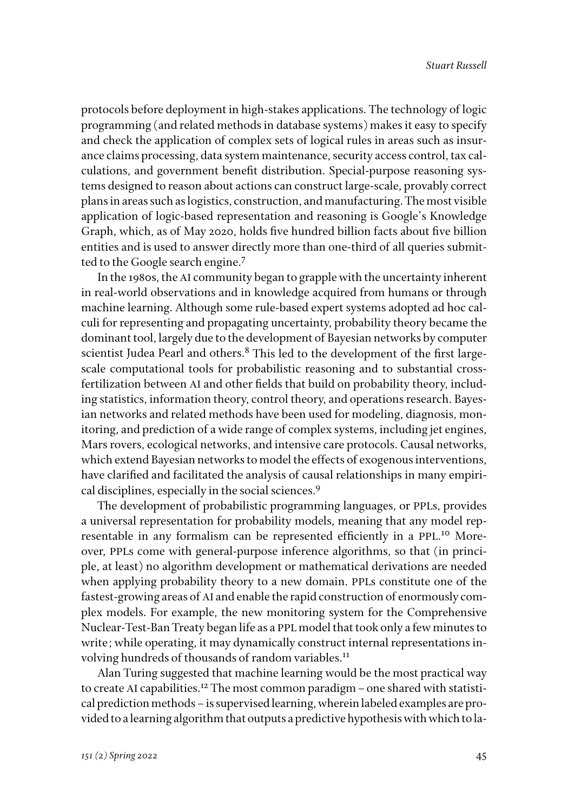protocols before deployment in high-stakes applications. The technology of logic programming (and related methods in database systems) makes it easy to specify and check the application of complex sets of logical rules in areas such as insurance claims processing, data system maintenance, security access control, tax calculations, and government benefit distribution. Special-purpose reasoning systems designed to reason about actions can construct large-scale, provably correct plans in areas such as logistics, construction, and manufacturing. The most visible application of logic-based representation and reasoning is Google's Knowledge Graph, which, as of May 2020, holds five hundred billion facts about five billion entities and is used to answer directly more than one-third of all queries submitted to the Google search engine.<sup>7</sup>

In the 1980s, the AI community began to grapple with the uncertainty inherent in real-world observations and in knowledge acquired from humans or through machine learning. Although some rule-based expert systems adopted ad hoc calculi for representing and propagating uncertainty, probability theory became the dominant tool, largely due to the development of Bayesian networks by computer scientist Judea Pearl and others.<sup>8</sup> This led to the development of the first largescale computational tools for probabilistic reasoning and to substantial crossfertilization between AI and other fields that build on probability theory, including statistics, information theory, control theory, and operations research. Bayesian networks and related methods have been used for modeling, diagnosis, monitoring, and prediction of a wide range of complex systems, including jet engines, Mars rovers, ecological networks, and intensive care protocols. Causal networks, which extend Bayesian networks to model the effects of exogenous interventions, have clarified and facilitated the analysis of causal relationships in many empirical disciplines, especially in the social sciences.9

The development of probabilistic programming languages, or PPLs, provides a universal representation for probability models, meaning that any model representable in any formalism can be represented efficiently in a PPL.<sup>10</sup> Moreover, PPLs come with general-purpose inference algorithms, so that (in principle, at least) no algorithm development or mathematical derivations are needed when applying probability theory to a new domain. PPLs constitute one of the fastest-growing areas of AI and enable the rapid construction of enormously complex models. For example, the new monitoring system for the Comprehensive Nuclear-Test-Ban Treaty began life as a PPL model that took only a few minutes to write; while operating, it may dynamically construct internal representations involving hundreds of thousands of random variables.<sup>11</sup>

Alan Turing suggested that machine learning would be the most practical way to create AI capabilities.<sup>12</sup> The most common paradigm – one shared with statistical prediction methods–is supervised learning, wherein labeled examples are provided to a learning algorithm that outputs a predictive hypothesis with which to la-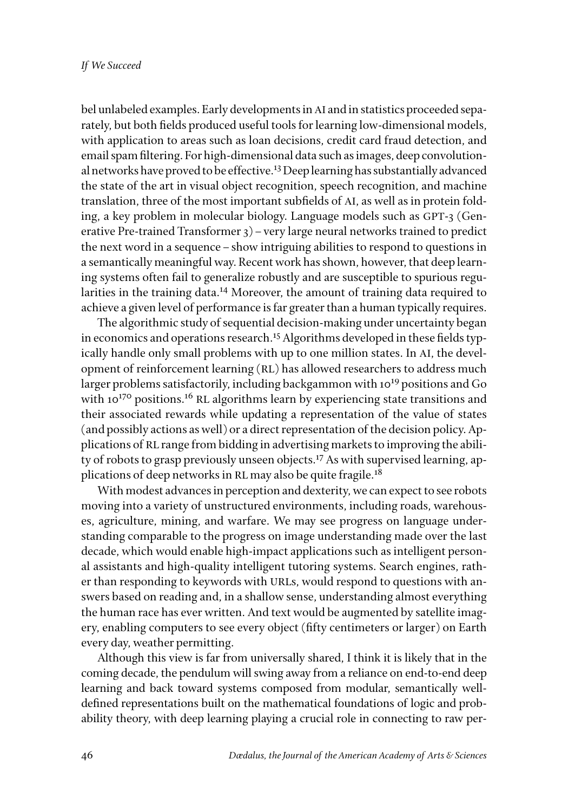bel unlabeled examples. Early developments in AI and in statistics proceeded separately, but both fields produced useful tools for learning low-dimensional models, with application to areas such as loan decisions, credit card fraud detection, and email spam filtering. For high-dimensional data such as images, deep convolutional networks have proved to be effective.<sup>13</sup> Deep learning has substantially advanced the state of the art in visual object recognition, speech recognition, and machine translation, three of the most important subfields of AI, as well as in protein folding, a key problem in molecular biology. Language models such as GPT-3 (Generative Pre-trained Transformer  $3$ ) – very large neural networks trained to predict the next word in a sequence–show intriguing abilities to respond to questions in a semantically meaningful way. Recent work has shown, however, that deep learning systems often fail to generalize robustly and are susceptible to spurious regularities in the training data.14 Moreover, the amount of training data required to achieve a given level of performance is far greater than a human typically requires.

The algorithmic study of sequential decision-making under uncertainty began in economics and operations research.<sup>15</sup> Algorithms developed in these fields typically handle only small problems with up to one million states. In AI, the development of reinforcement learning (RL) has allowed researchers to address much larger problems satisfactorily, including backgammon with 1019 positions and Go with  $10^{170}$  positions.<sup>16</sup> RL algorithms learn by experiencing state transitions and their associated rewards while updating a representation of the value of states (and possibly actions as well) or a direct representation of the decision policy. Applications of RL range from bidding in advertising markets to improving the ability of robots to grasp previously unseen objects.<sup>17</sup> As with supervised learning, applications of deep networks in RL may also be quite fragile.<sup>18</sup>

With modest advances in perception and dexterity, we can expect to see robots moving into a variety of unstructured environments, including roads, warehouses, agriculture, mining, and warfare. We may see progress on language understanding comparable to the progress on image understanding made over the last decade, which would enable high-impact applications such as intelligent personal assistants and high-quality intelligent tutoring systems. Search engines, rather than responding to keywords with URLs, would respond to questions with answers based on reading and, in a shallow sense, understanding almost everything the human race has ever written. And text would be augmented by satellite imagery, enabling computers to see every object (fifty centimeters or larger) on Earth every day, weather permitting.

Although this view is far from universally shared, I think it is likely that in the coming decade, the pendulum will swing away from a reliance on end-to-end deep learning and back toward systems composed from modular, semantically welldefined representations built on the mathematical foundations of logic and probability theory, with deep learning playing a crucial role in connecting to raw per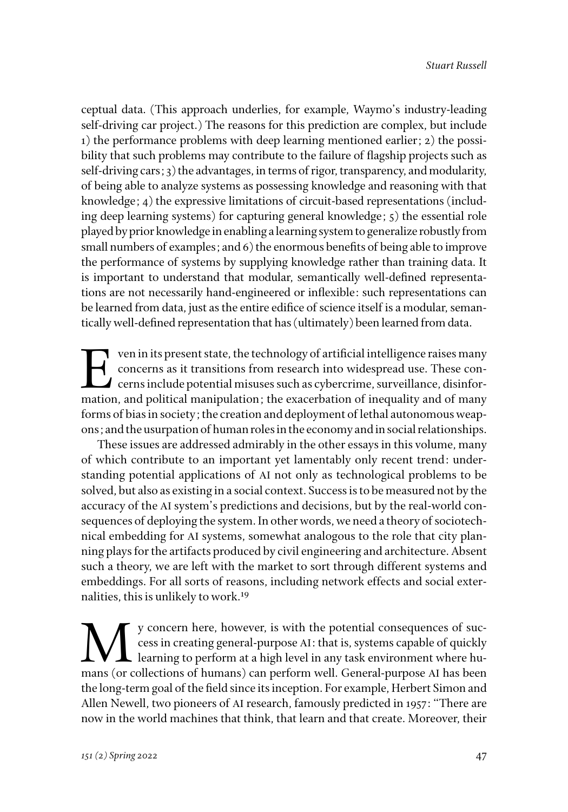ceptual data. (This approach underlies, for example, Waymo's industry-leading self-driving car project.) The reasons for this prediction are complex, but include 1) the performance problems with deep learning mentioned earlier; 2) the possibility that such problems may contribute to the failure of flagship projects such as self-driving cars; 3) the advantages, in terms of rigor, transparency, and modularity, of being able to analyze systems as possessing knowledge and reasoning with that knowledge; 4) the expressive limitations of circuit-based representations (including deep learning systems) for capturing general knowledge; 5) the essential role played by prior knowledge in enabling a learning system to generalize robustly from small numbers of examples; and 6) the enormous benefits of being able to improve the performance of systems by supplying knowledge rather than training data. It is important to understand that modular, semantically well-defined representations are not necessarily hand-engineered or inflexible: such representations can be learned from data, just as the entire edifice of science itself is a modular, semantically well-defined representation that has (ultimately) been learned from data.

 $\blacksquare$  ven in its present state, the technology of artificial intelligence raises many concerns as it transitions from research into widespread use. These con- $\blacktriangle$  cerns include potential misuses such as cybercrime, surveillance, disinformation, and political manipulation; the exacerbation of inequality and of many forms of bias in society; the creation and deployment of lethal autonomous weapons; and the usurpation of human roles in the economy and in social relationships.

These issues are addressed admirably in the other essays in this volume, many of which contribute to an important yet lamentably only recent trend: understanding potential applications of AI not only as technological problems to be solved, but also as existing in a social context. Success is to be measured not by the accuracy of the AI system's predictions and decisions, but by the real-world consequences of deploying the system. In other words, we need a theory of sociotechnical embedding for AI systems, somewhat analogous to the role that city planning plays for the artifacts produced by civil engineering and architecture. Absent such a theory, we are left with the market to sort through different systems and embeddings. For all sorts of reasons, including network effects and social externalities, this is unlikely to work.19

We concern here, however, is with the potential consequences of success in creating general-purpose AI: that is, systems capable of quickly<br>learning to perform at a high level in any task environment where humans (or colle cess in creating general-purpose AI: that is, systems capable of quickly  $\mathsf{\mathsf{L}}$  learning to perform at a high level in any task environment where humans (or collections of humans) can perform well. General-purpose AI has been the long-term goal of the field since its inception. For example, Herbert Simon and Allen Newell, two pioneers of AI research, famously predicted in 1957: "There are now in the world machines that think, that learn and that create. Moreover, their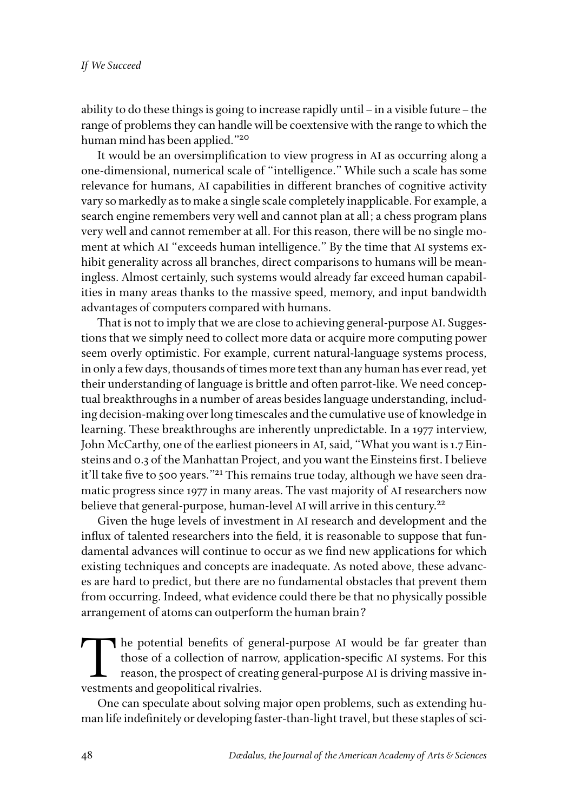ability to do these things is going to increase rapidly until  $-$  in a visible future  $-$  the range of problems they can handle will be coextensive with the range to which the human mind has been applied."20

It would be an oversimplification to view progress in AI as occurring along a one-dimensional, numerical scale of "intelligence." While such a scale has some relevance for humans, AI capabilities in different branches of cognitive activity vary so markedly as to make a single scale completely inapplicable. For example, a search engine remembers very well and cannot plan at all; a chess program plans very well and cannot remember at all. For this reason, there will be no single moment at which AI "exceeds human intelligence." By the time that AI systems exhibit generality across all branches, direct comparisons to humans will be meaningless. Almost certainly, such systems would already far exceed human capabilities in many areas thanks to the massive speed, memory, and input bandwidth advantages of computers compared with humans.

That is not to imply that we are close to achieving general-purpose AI. Suggestions that we simply need to collect more data or acquire more computing power seem overly optimistic. For example, current natural-language systems process, in only a few days, thousands of times more text than any human has ever read, yet their understanding of language is brittle and often parrot-like. We need conceptual breakthroughs in a number of areas besides language understanding, including decision-making over long timescales and the cumulative use of knowledge in learning. These breakthroughs are inherently unpredictable. In a 1977 interview, John McCarthy, one of the earliest pioneers in AI, said, "What you want is 1.7 Einsteins and 0.3 of the Manhattan Project, and you want the Einsteins first. I believe it'll take five to 500 years."<sup>21</sup> This remains true today, although we have seen dramatic progress since 1977 in many areas. The vast majority of AI researchers now believe that general-purpose, human-level AI will arrive in this century.<sup>22</sup>

Given the huge levels of investment in AI research and development and the influx of talented researchers into the field, it is reasonable to suppose that fundamental advances will continue to occur as we find new applications for which existing techniques and concepts are inadequate. As noted above, these advances are hard to predict, but there are no fundamental obstacles that prevent them from occurring. Indeed, what evidence could there be that no physically possible arrangement of atoms can outperform the human brain?

The potential benefits of general-purpose AI would be far greater than those of a collection of narrow, application-specific AI systems. For this reason, the prospect of creating general-purpose AI is driving massive investments and geopolitical rivalries.

One can speculate about solving major open problems, such as extending human life indefinitely or developing faster-than-light travel, but these staples of sci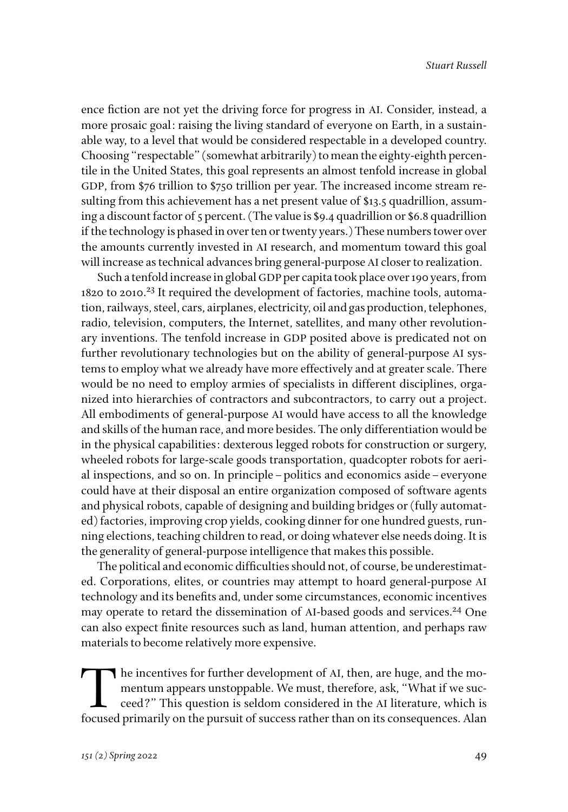ence fiction are not yet the driving force for progress in AI. Consider, instead, a more prosaic goal: raising the living standard of everyone on Earth, in a sustainable way, to a level that would be considered respectable in a developed country. Choosing "respectable" (somewhat arbitrarily) to mean the eighty-eighth percentile in the United States, this goal represents an almost tenfold increase in global GDP, from \$76 trillion to \$750 trillion per year. The increased income stream resulting from this achievement has a net present value of \$13.5 quadrillion, assuming a discount factor of 5 percent. (The value is \$9.4 quadrillion or \$6.8 quadrillion if the technology is phased in over ten or twenty years.) These numbers tower over the amounts currently invested in AI research, and momentum toward this goal will increase as technical advances bring general-purpose AI closer to realization.

Such a tenfold increase in global GDP per capita took place over 190 years, from 1820 to 2010.<sup>23</sup> It required the development of factories, machine tools, automation, railways, steel, cars, airplanes, electricity, oil and gas production, telephones, radio, television, computers, the Internet, satellites, and many other revolutionary inventions. The tenfold increase in GDP posited above is predicated not on further revolutionary technologies but on the ability of general-purpose AI systems to employ what we already have more effectively and at greater scale. There would be no need to employ armies of specialists in different disciplines, organized into hierarchies of contractors and subcontractors, to carry out a project. All embodiments of general-purpose AI would have access to all the knowledge and skills of the human race, and more besides. The only differentiation would be in the physical capabilities: dexterous legged robots for construction or surgery, wheeled robots for large-scale goods transportation, quadcopter robots for aerial inspections, and so on. In principle–politics and economics aside–everyone could have at their disposal an entire organization composed of software agents and physical robots, capable of designing and building bridges or (fully automated) factories, improving crop yields, cooking dinner for one hundred guests, running elections, teaching children to read, or doing whatever else needs doing. It is the generality of general-purpose intelligence that makes this possible.

The political and economic difficulties should not, of course, be underestimated. Corporations, elites, or countries may attempt to hoard general-purpose AI technology and its benefits and, under some circumstances, economic incentives may operate to retard the dissemination of AI-based goods and services.<sup>24</sup> One can also expect finite resources such as land, human attention, and perhaps raw materials to become relatively more expensive.

The incentives for further development of AI, then, are huge, and the momentum appears unstoppable. We must, therefore, ask, "What if we succeed?" This question is seldom considered in the AI literature, which is focused primarily on the pursuit of success rather than on its consequences. Alan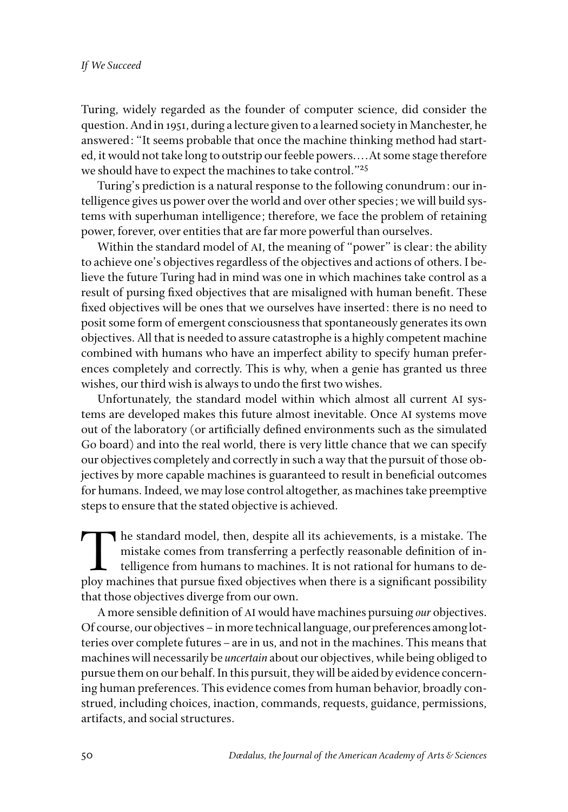Turing, widely regarded as the founder of computer science, did consider the question. And in 1951, during a lecture given to a learned society in Manchester, he answered: "It seems probable that once the machine thinking method had started, it would not take long to outstrip our feeble powers. . . . At some stage therefore we should have to expect the machines to take control."25

Turing's prediction is a natural response to the following conundrum: our intelligence gives us power over the world and over other species; we will build systems with superhuman intelligence; therefore, we face the problem of retaining power, forever, over entities that are far more powerful than ourselves.

Within the standard model of AI, the meaning of "power" is clear: the ability to achieve one's objectives regardless of the objectives and actions of others. I believe the future Turing had in mind was one in which machines take control as a result of pursing fixed objectives that are misaligned with human benefit. These fixed objectives will be ones that we ourselves have inserted: there is no need to posit some form of emergent consciousness that spontaneously generates its own objectives. All that is needed to assure catastrophe is a highly competent machine combined with humans who have an imperfect ability to specify human preferences completely and correctly. This is why, when a genie has granted us three wishes, our third wish is always to undo the first two wishes.

Unfortunately, the standard model within which almost all current AI systems are developed makes this future almost inevitable. Once AI systems move out of the laboratory (or artificially defined environments such as the simulated Go board) and into the real world, there is very little chance that we can specify our objectives completely and correctly in such a way that the pursuit of those objectives by more capable machines is guaranteed to result in beneficial outcomes for humans. Indeed, we may lose control altogether, as machines take preemptive steps to ensure that the stated objective is achieved.

The standard model, then, despite all its achievements, is a mistake. The mistake comes from transferring a perfectly reasonable definition of intelligence from humans to machines. It is not rational for humans to deploy m mistake comes from transferring a perfectly reasonable definition of intelligence from humans to machines. It is not rational for humans to deploy machines that pursue fixed objectives when there is a significant possibility that those objectives diverge from our own.

A more sensible definition of AI would have machines pursuing *our* objectives. Of course, our objectives–in more technical language, our preferences among lotteries over complete futures–are in us, and not in the machines. This means that machines will necessarily be *uncertain* about our objectives, while being obliged to pursue them on our behalf. In this pursuit, they will be aided by evidence concerning human preferences. This evidence comes from human behavior, broadly construed, including choices, inaction, commands, requests, guidance, permissions, artifacts, and social structures.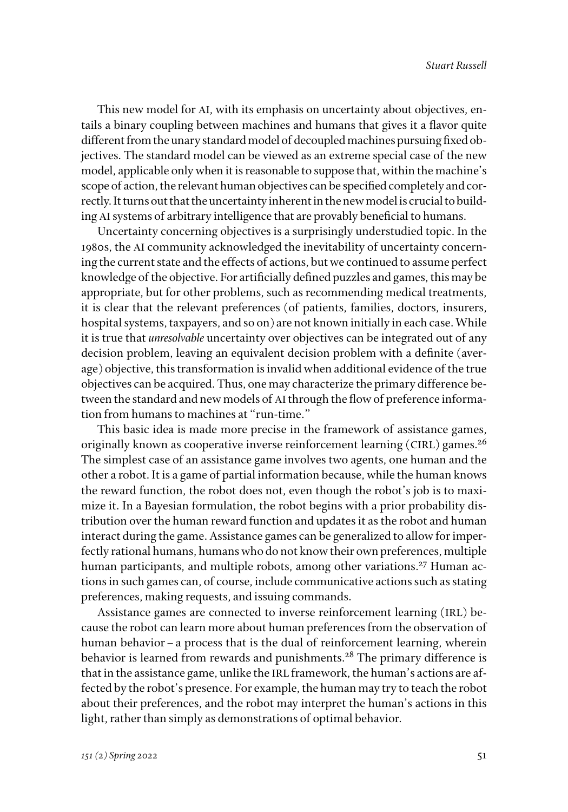This new model for AI, with its emphasis on uncertainty about objectives, entails a binary coupling between machines and humans that gives it a flavor quite different from the unary standard model of decoupled machines pursuing fixed objectives. The standard model can be viewed as an extreme special case of the new model, applicable only when it is reasonable to suppose that, within the machine's scope of action, the relevant human objectives can be specified completely and correctly. It turns out that the uncertainty inherent in the new model is crucial to building AI systems of arbitrary intelligence that are provably beneficial to humans.

Uncertainty concerning objectives is a surprisingly understudied topic. In the 1980s, the AI community acknowledged the inevitability of uncertainty concerning the current state and the effects of actions, but we continued to assume perfect knowledge of the objective. For artificially defined puzzles and games, this may be appropriate, but for other problems, such as recommending medical treatments, it is clear that the relevant preferences (of patients, families, doctors, insurers, hospital systems, taxpayers, and so on) are not known initially in each case. While it is true that *unresolvable* uncertainty over objectives can be integrated out of any decision problem, leaving an equivalent decision problem with a definite (average) objective, this transformation is invalid when additional evidence of the true objectives can be acquired. Thus, one may characterize the primary difference between the standard and new models of AI through the flow of preference information from humans to machines at "run-time."

This basic idea is made more precise in the framework of assistance games, originally known as cooperative inverse reinforcement learning (CIRL) games.<sup>26</sup> The simplest case of an assistance game involves two agents, one human and the other a robot. It is a game of partial information because, while the human knows the reward function, the robot does not, even though the robot's job is to maximize it. In a Bayesian formulation, the robot begins with a prior probability distribution over the human reward function and updates it as the robot and human interact during the game. Assistance games can be generalized to allow for imperfectly rational humans, humans who do not know their own preferences, multiple human participants, and multiple robots, among other variations.<sup>27</sup> Human actions in such games can, of course, include communicative actions such as stating preferences, making requests, and issuing commands.

Assistance games are connected to inverse reinforcement learning (IRL) because the robot can learn more about human preferences from the observation of human behavior–a process that is the dual of reinforcement learning, wherein behavior is learned from rewards and punishments.<sup>28</sup> The primary difference is that in the assistance game, unlike the IRL framework, the human's actions are affected by the robot's presence. For example, the human may try to teach the robot about their preferences, and the robot may interpret the human's actions in this light, rather than simply as demonstrations of optimal behavior.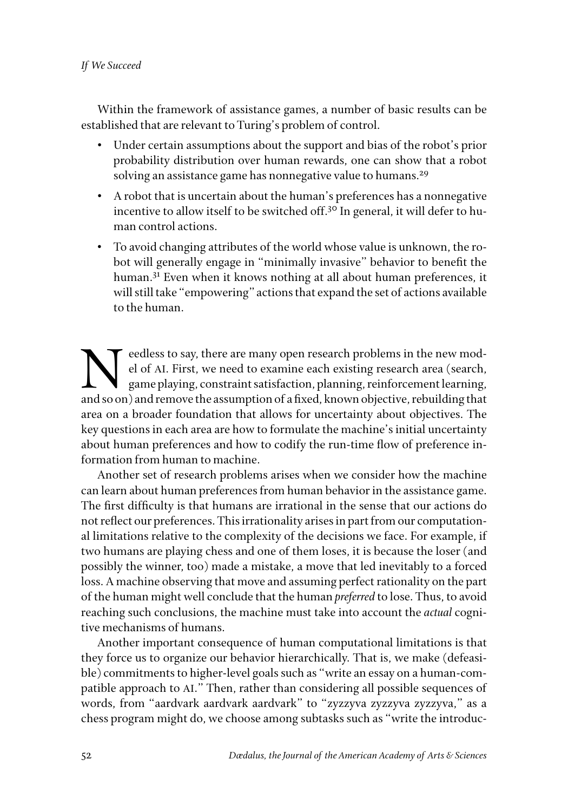### *If We Succeed*

Within the framework of assistance games, a number of basic results can be established that are relevant to Turing's problem of control.

- Under certain assumptions about the support and bias of the robot's prior probability distribution over human rewards, one can show that a robot solving an assistance game has nonnegative value to humans.<sup>29</sup>
- A robot that is uncertain about the human's preferences has a nonnegative incentive to allow itself to be switched off.<sup>30</sup> In general, it will defer to human control actions.
- To avoid changing attributes of the world whose value is unknown, the robot will generally engage in "minimally invasive" behavior to benefit the human.<sup>31</sup> Even when it knows nothing at all about human preferences, it will still take "empowering" actions that expand the set of actions available to the human.

Election Say, there are many open research problems in the new model of AI. First, we need to examine each existing research area (search, game playing, constraint satisfaction, planning, reinforcement learning, and so on) el of AI. First, we need to examine each existing research area (search, game playing, constraint satisfaction, planning, reinforcement learning, and so on) and remove the assumption of a fixed, known objective, rebuilding that area on a broader foundation that allows for uncertainty about objectives. The key questions in each area are how to formulate the machine's initial uncertainty about human preferences and how to codify the run-time flow of preference information from human to machine.

Another set of research problems arises when we consider how the machine can learn about human preferences from human behavior in the assistance game. The first difficulty is that humans are irrational in the sense that our actions do not reflect our preferences. This irrationality arises in part from our computational limitations relative to the complexity of the decisions we face. For example, if two humans are playing chess and one of them loses, it is because the loser (and possibly the winner, too) made a mistake, a move that led inevitably to a forced loss. A machine observing that move and assuming perfect rationality on the part of the human might well conclude that the human *preferred* to lose. Thus, to avoid reaching such conclusions, the machine must take into account the *actual* cognitive mechanisms of humans.

Another important consequence of human computational limitations is that they force us to organize our behavior hierarchically. That is, we make (defeasible) commitments to higher-level goals such as "write an essay on a human-compatible approach to AI." Then, rather than considering all possible sequences of words, from "aardvark aardvark aardvark" to "zyzzyva zyzzyva zyzzyva," as a chess program might do, we choose among subtasks such as "write the introduc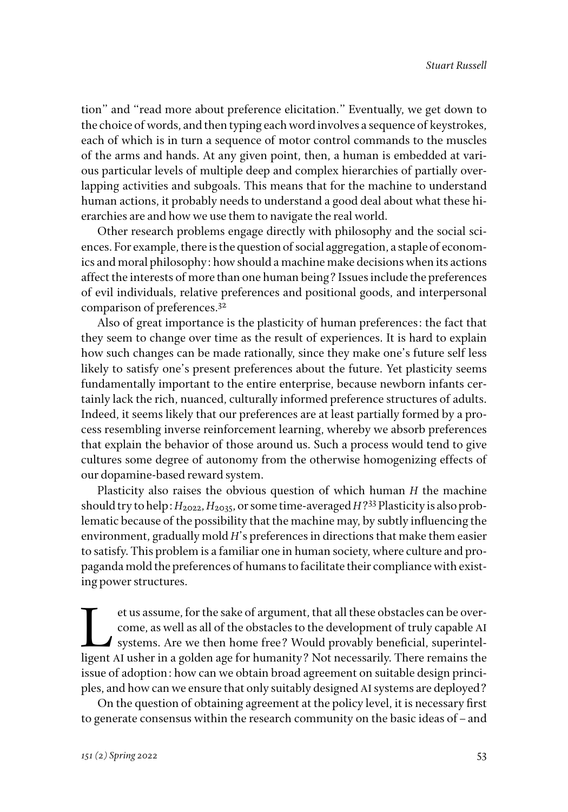tion" and "read more about preference elicitation." Eventually, we get down to the choice of words, and then typing each word involves a sequence of keystrokes, each of which is in turn a sequence of motor control commands to the muscles of the arms and hands. At any given point, then, a human is embedded at various particular levels of multiple deep and complex hierarchies of partially overlapping activities and subgoals. This means that for the machine to understand human actions, it probably needs to understand a good deal about what these hierarchies are and how we use them to navigate the real world.

Other research problems engage directly with philosophy and the social sciences. For example, there is the question of social aggregation, a staple of economics and moral philosophy: how should a machine make decisions when its actions affect the interests of more than one human being? Issues include the preferences of evil individuals, relative preferences and positional goods, and interpersonal comparison of preferences.32

Also of great importance is the plasticity of human preferences: the fact that they seem to change over time as the result of experiences. It is hard to explain how such changes can be made rationally, since they make one's future self less likely to satisfy one's present preferences about the future. Yet plasticity seems fundamentally important to the entire enterprise, because newborn infants certainly lack the rich, nuanced, culturally informed preference structures of adults. Indeed, it seems likely that our preferences are at least partially formed by a process resembling inverse reinforcement learning, whereby we absorb preferences that explain the behavior of those around us. Such a process would tend to give cultures some degree of autonomy from the otherwise homogenizing effects of our dopamine-based reward system.

Plasticity also raises the obvious question of which human *H* the machine should try to help:  $H_{2022}$ ,  $H_{2035}$ , or some time-averaged  $H^{233}$  Plasticity is also problematic because of the possibility that the machine may, by subtly influencing the environment, gradually mold *H*'s preferences in directions that make them easier to satisfy. This problem is a familiar one in human society, where culture and propaganda mold the preferences of humans to facilitate their compliance with existing power structures.

et us assume, for the sake of argument, that all these obstacles can be over-<br>come, as well as all of the obstacles to the development of truly capable AI<br>systems. Are we then home free? Would provably beneficial, superint come, as well as all of the obstacles to the development of truly capable AI systems. Are we then home free? Would provably beneficial, superintelligent AI usher in a golden age for humanity? Not necessarily. There remains the issue of adoption: how can we obtain broad agreement on suitable design principles, and how can we ensure that only suitably designed AI systems are deployed?

On the question of obtaining agreement at the policy level, it is necessary first to generate consensus within the research community on the basic ideas of–and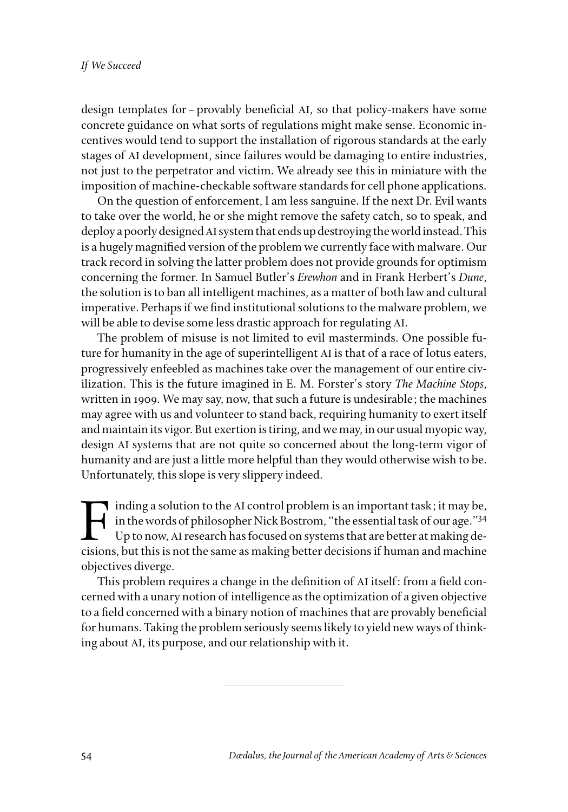design templates for–provably beneficial AI, so that policy-makers have some concrete guidance on what sorts of regulations might make sense. Economic incentives would tend to support the installation of rigorous standards at the early stages of AI development, since failures would be damaging to entire industries, not just to the perpetrator and victim. We already see this in miniature with the imposition of machine-checkable software standards for cell phone applications.

On the question of enforcement, I am less sanguine. If the next Dr. Evil wants to take over the world, he or she might remove the safety catch, so to speak, and deploy a poorly designed AI system that ends up destroying the world instead. This is a hugely magnified version of the problem we currently face with malware. Our track record in solving the latter problem does not provide grounds for optimism concerning the former. In Samuel Butler's *Erewhon* and in Frank Herbert's *Dune*, the solution is to ban all intelligent machines, as a matter of both law and cultural imperative. Perhaps if we find institutional solutions to the malware problem, we will be able to devise some less drastic approach for regulating AI.

The problem of misuse is not limited to evil masterminds. One possible future for humanity in the age of superintelligent AI is that of a race of lotus eaters, progressively enfeebled as machines take over the management of our entire civilization. This is the future imagined in E. M. Forster's story *The Machine Stops*, written in 1909. We may say, now, that such a future is undesirable; the machines may agree with us and volunteer to stand back, requiring humanity to exert itself and maintain its vigor. But exertion is tiring, and we may, in our usual myopic way, design AI systems that are not quite so concerned about the long-term vigor of humanity and are just a little more helpful than they would otherwise wish to be. Unfortunately, this slope is very slippery indeed.

inding a solution to the AI control problem is an important task; it may be,<br>in the words of philosopher Nick Bostrom, "the essential task of our age."<sup>34</sup><br>Up to now, AI research has focused on systems that are better at m in the words of philosopher Nick Bostrom, "the essential task of our age."34 Up to now, AI research has focused on systems that are better at making decisions, but this is not the same as making better decisions if human and machine objectives diverge.

This problem requires a change in the definition of AI itself: from a field concerned with a unary notion of intelligence as the optimization of a given objective to a field concerned with a binary notion of machines that are provably beneficial for humans. Taking the problem seriously seems likely to yield new ways of thinking about AI, its purpose, and our relationship with it.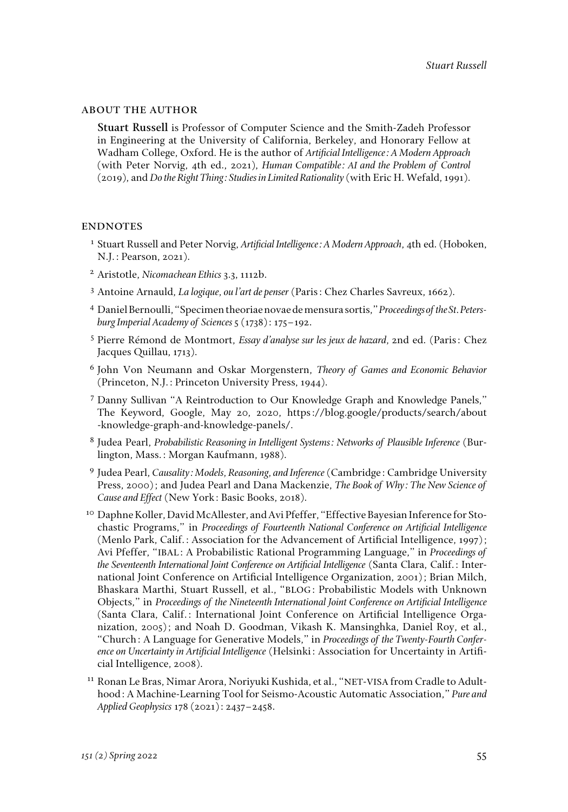#### about the author

**Stuart Russell** is Professor of Computer Science and the Smith-Zadeh Professor in Engineering at the University of California, Berkeley, and Honorary Fellow at Wadham College, Oxford. He is the author of *Artificial Intelligence: A Modern Approach* (with Peter Norvig, 4th ed., 2021), *Human Compatible: AI and the Problem of Control* (2019), and *Do the Right Thing: Studies in Limited Rationality* (with Eric H. Wefald, 1991).

#### **ENDNOTES**

- <sup>1</sup> Stuart Russell and Peter Norvig, *Artificial Intelligence: A Modern Approach*, 4th ed. (Hoboken, N.J.: Pearson, 2021).
- <sup>2</sup> Aristotle, *Nicomachean Ethics* 3.3, 1112b.
- <sup>3</sup> Antoine Arnauld, *La logique, ou l'art de penser* (Paris: Chez Charles Savreux, 1662).
- <sup>4</sup> Daniel Bernoulli, "Specimen theoriae novae de mensura sortis," *Proceedings of the St. Petersburg Imperial Academy of Sciences* 5 (1738): 175–192.
- <sup>5</sup> Pierre Rémond de Montmort, *Essay d'analyse sur les jeux de hazard,* 2nd ed. (Paris: Chez Jacques Quillau, 1713).
- <sup>6</sup> John Von Neumann and Oskar Morgenstern, *Theory of Games and Economic Behavior* (Princeton, N.J.: Princeton University Press, 1944).
- <sup>7</sup> Danny Sullivan "A Reintroduction to Our Knowledge Graph and Knowledge Panels," The Keyword, Google, May 20, 2020, [https://blog.google/products/search/about](https://blog.google/products/search/about-knowledge-graph-and-knowledge-panels/) [-knowledge-graph-and-knowledge-panels/.](https://blog.google/products/search/about-knowledge-graph-and-knowledge-panels/)
- <sup>8</sup> Judea Pearl, *Probabilistic Reasoning in Intelligent Systems: Networks of Plausible Inference* (Burlington, Mass.: Morgan Kaufmann, 1988).
- <sup>9</sup> Judea Pearl, *Causality: Models, Reasoning, and Inference* (Cambridge: Cambridge University Press, 2000); and Judea Pearl and Dana Mackenzie, *The Book of Why: The New Science of Cause and Effect* (New York: Basic Books, 2018).
- <sup>10</sup> Daphne Koller, David McAllester, and Avi Pfeffer, "Effective Bayesian Inference for Stochastic Programs," in *Proceedings of Fourteenth National Conference on Artificial Intelligence* (Menlo Park, Calif.: Association for the Advancement of Artificial Intelligence, 1997); Avi Pfeffer, "IBAL: A Probabilistic Rational Programming Language," in *Proceedings of the Seventeenth International Joint Conference on Artificial Intelligence* (Santa Clara, Calif.: International Joint Conference on Artificial Intelligence Organization, 2001); Brian Milch, Bhaskara Marthi, Stuart Russell, et al., "BLOG: Probabilistic Models with Unknown Objects," in *Proceedings of the Nineteenth International Joint Conference on Artificial Intelligence* (Santa Clara, Calif.: International Joint Conference on Artificial Intelligence Organization, 2005); and Noah D. Goodman, Vikash K. Mansinghka, Daniel Roy, et al., "Church: A Language for Generative Models," in *Proceedings of the Twenty-Fourth Conference on Uncertainty in Artificial Intelligence* (Helsinki: Association for Uncertainty in Artificial Intelligence, 2008).
- <sup>11</sup> Ronan Le Bras, Nimar Arora, Noriyuki Kushida, et al., "NET-VISA from Cradle to Adulthood: A Machine-Learning Tool for Seismo-Acoustic Automatic Association," *Pure and Applied Geophysics* 178 (2021): 2437–2458.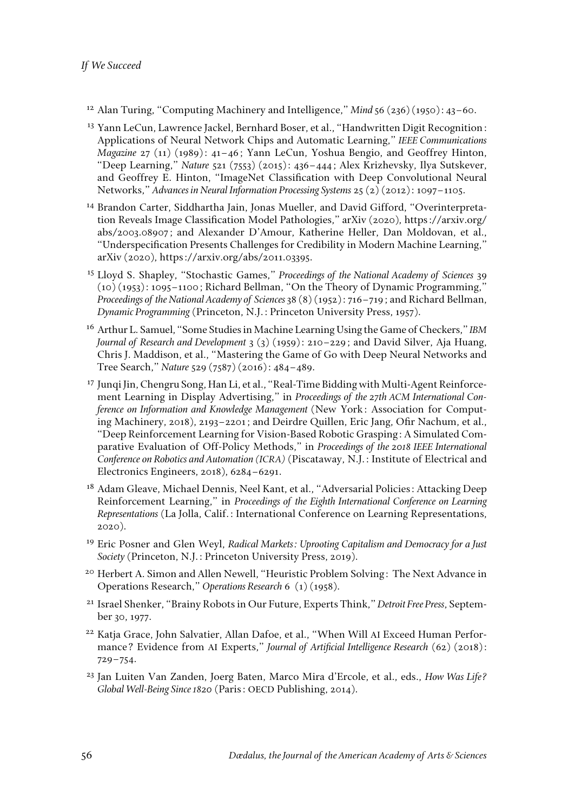- <sup>12</sup> Alan Turing, "Computing Machinery and Intelligence," *Mind* 56 (236)(1950): 43–60.
- <sup>13</sup> Yann LeCun, Lawrence Jackel, Bernhard Boser, et al., "Handwritten Digit Recognition: Applications of Neural Network Chips and Automatic Learning," *IEEE Communications Magazine* 27 (11) (1989): 41–46; Yann LeCun, Yoshua Bengio, and Geoffrey Hinton, "Deep Learning," *Nature* 521 (7553) (2015): 436–444; Alex Krizhevsky, Ilya Sutskever, and Geoffrey E. Hinton, "ImageNet Classification with Deep Convolutional Neural Networks," *Advances in Neural Information Processing Systems* 25 (2) (2012): 1097–1105.
- <sup>14</sup> Brandon Carter, Siddhartha Jain, Jonas Mueller, and David Gifford, "Overinterpretation Reveals Image Classification Model Pathologies," arXiv (2020), [https://arxiv.](https://arxiv)org/ abs/2003.08907; and Alexander D'Amour, Katherine Heller, Dan Moldovan, et al., "Underspecification Presents Challenges for Credibility in Modern Machine Learning," arXiv (2020), <https://arxiv>.org/abs/2011.03395.
- <sup>15</sup> Lloyd S. Shapley, "Stochastic Games," *Proceedings of the National Academy of Sciences* 39 (10) (1953): 1095–1100; Richard Bellman, "On the Theory of Dynamic Programming," *Proceedings of the National Academy of Sciences* 38 (8) (1952): 716–719; and Richard Bellman, *Dynamic Programming* (Princeton, N.J.: Princeton University Press, 1957).
- <sup>16</sup> Arthur L. Samuel, "Some Studies in Machine Learning Using the Game of Checkers," *IBM Journal of Research and Development* 3 (3) (1959): 210–229; and David Silver, Aja Huang, Chris J. Maddison, et al., "Mastering the Game of Go with Deep Neural Networks and Tree Search," *Nature* 529 (7587) (2016): 484–489.
- <sup>17</sup> Junqi Jin, Chengru Song, Han Li, et al., "Real-Time Bidding with Multi-Agent Reinforcement Learning in Display Advertising," in *Proceedings of the 27th ACM International Conference on Information and Knowledge Management* (New York: Association for Computing Machinery, 2018), 2193–2201; and Deirdre Quillen, Eric Jang, Ofir Nachum, et al., "Deep Reinforcement Learning for Vision-Based Robotic Grasping: A Simulated Comparative Evaluation of Off-Policy Methods," in *Proceedings of the 2018 IEEE International Conference on Robotics and Automation (ICRA)* (Piscataway, N.J.: Institute of Electrical and Electronics Engineers, 2018), 6284–6291.
- <sup>18</sup> Adam Gleave, Michael Dennis, Neel Kant, et al., "Adversarial Policies: Attacking Deep Reinforcement Learning," in *Proceedings of the Eighth International Conference on Learning Representations* (La Jolla, Calif.: International Conference on Learning Representations, 2020).
- <sup>19</sup> Eric Posner and Glen Weyl, *Radical Markets: Uprooting Capitalism and Democracy for a Just Society* (Princeton, N.J.: Princeton University Press, 2019).
- <sup>20</sup> Herbert A. Simon and Allen Newell, "Heuristic Problem Solving: The Next Advance in Operations Research," *Operations Research* 6 (1) (1958).
- <sup>21</sup> Israel Shenker, "Brainy Robots in Our Future, Experts Think," *Detroit Free Press*, September 30, 1977.
- <sup>22</sup> Katja Grace, John Salvatier, Allan Dafoe, et al., "When Will AI Exceed Human Performance? Evidence from AI Experts," *Journal of Artificial Intelligence Research* (62) (2018): 729–754.
- <sup>23</sup> Jan Luiten Van Zanden, Joerg Baten, Marco Mira d'Ercole, et al., eds., *How Was Life? Global Well-Being Since 1820* (Paris: OECD Publishing, 2014).